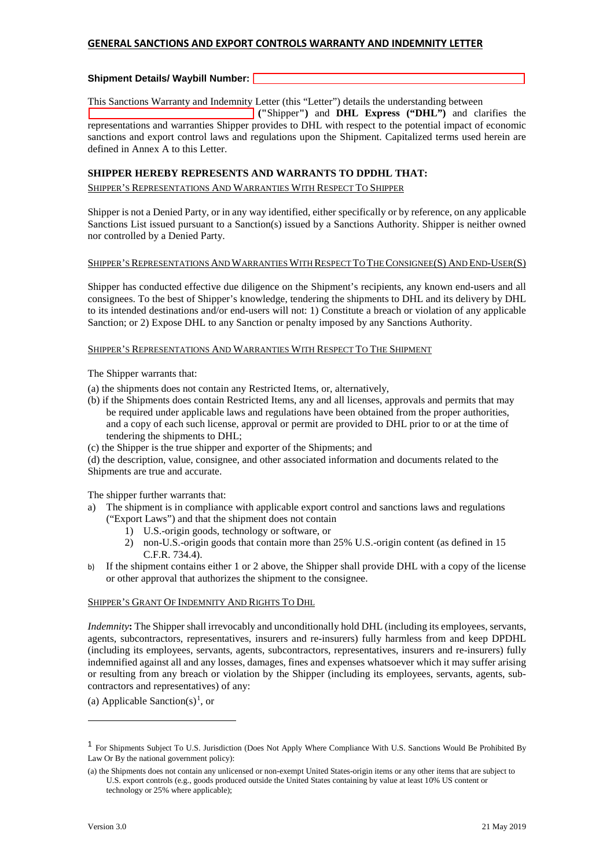# **GENERAL SANCTIONS AND EXPORT CONTROLS WARRANTY AND INDEMNITY LETTER**

### **Shipment Details/ Waybill Number:**

This Sanctions Warranty and Indemnity Letter (this "Letter") details the understanding between

 **("**Shipper**")** and **DHL Express ("DHL")** and clarifies the representations and warranties Shipper provides to DHL with respect to the potential impact of economic sanctions and export control laws and regulations upon the Shipment. Capitalized terms used herein are defined in Annex A to this Letter.

## **SHIPPER HEREBY REPRESENTS AND WARRANTS TO DPDHL THAT:**

SHIPPER'S REPRESENTATIONS AND WARRANTIES WITH RESPECT TO SHIPPER

Shipper is not a Denied Party, or in any way identified, either specifically or by reference, on any applicable Sanctions List issued pursuant to a Sanction(s) issued by a Sanctions Authority. Shipper is neither owned nor controlled by a Denied Party.

#### SHIPPER'S REPRESENTATIONS AND WARRANTIES WITH RESPECT TO THE CONSIGNEE(S) AND END-USER(S)

Shipper has conducted effective due diligence on the Shipment's recipients, any known end-users and all consignees. To the best of Shipper's knowledge, tendering the shipments to DHL and its delivery by DHL to its intended destinations and/or end-users will not: 1) Constitute a breach or violation of any applicable Sanction; or 2) Expose DHL to any Sanction or penalty imposed by any Sanctions Authority.

#### SHIPPER'S REPRESENTATIONS AND WARRANTIES WITH RESPECT TO THE SHIPMENT

The Shipper warrants that:

- (a) the shipments does not contain any Restricted Items, or, alternatively,
- (b) if the Shipments does contain Restricted Items, any and all licenses, approvals and permits that may be required under applicable laws and regulations have been obtained from the proper authorities, and a copy of each such license, approval or permit are provided to DHL prior to or at the time of tendering the shipments to DHL;
- (c) the Shipper is the true shipper and exporter of the Shipments; and

(d) the description, value, consignee, and other associated information and documents related to the Shipments are true and accurate.

The shipper further warrants that:

- a) The shipment is in compliance with applicable export control and sanctions laws and regulations ("Export Laws") and that the shipment does not contain
	- 1) U.S.-origin goods, technology or software, or
	- 2) non-U.S.-origin goods that contain more than 25% U.S.-origin content (as defined in 15 C.F.R. 734.4).
- b) If the shipment contains either 1 or 2 above, the Shipper shall provide DHL with a copy of the license or other approval that authorizes the shipment to the consignee.

### SHIPPER'S GRANT OF INDEMNITY AND RIGHTS TO DHL

*Indemnity*: The Shipper shall irrevocably and unconditionally hold DHL (including its employees, servants, agents, subcontractors, representatives, insurers and re-insurers) fully harmless from and keep DPDHL (including its employees, servants, agents, subcontractors, representatives, insurers and re-insurers) fully indemnified against all and any losses, damages, fines and expenses whatsoever which it may suffer arising or resulting from any breach or violation by the Shipper (including its employees, servants, agents, subcontractors and representatives) of any:

(a) Applicable Sanction(s)<sup>[1](#page-0-0)</sup>, or

<span id="page-0-0"></span><sup>1</sup> For Shipments Subject To U.S. Jurisdiction (Does Not Apply Where Compliance With U.S. Sanctions Would Be Prohibited By Law Or By the national government policy):

<sup>(</sup>a) the Shipments does not contain any unlicensed or non-exempt United States-origin items or any other items that are subject to U.S. export controls (e.g., goods produced outside the United States containing by value at least 10% US content or technology or 25% where applicable);